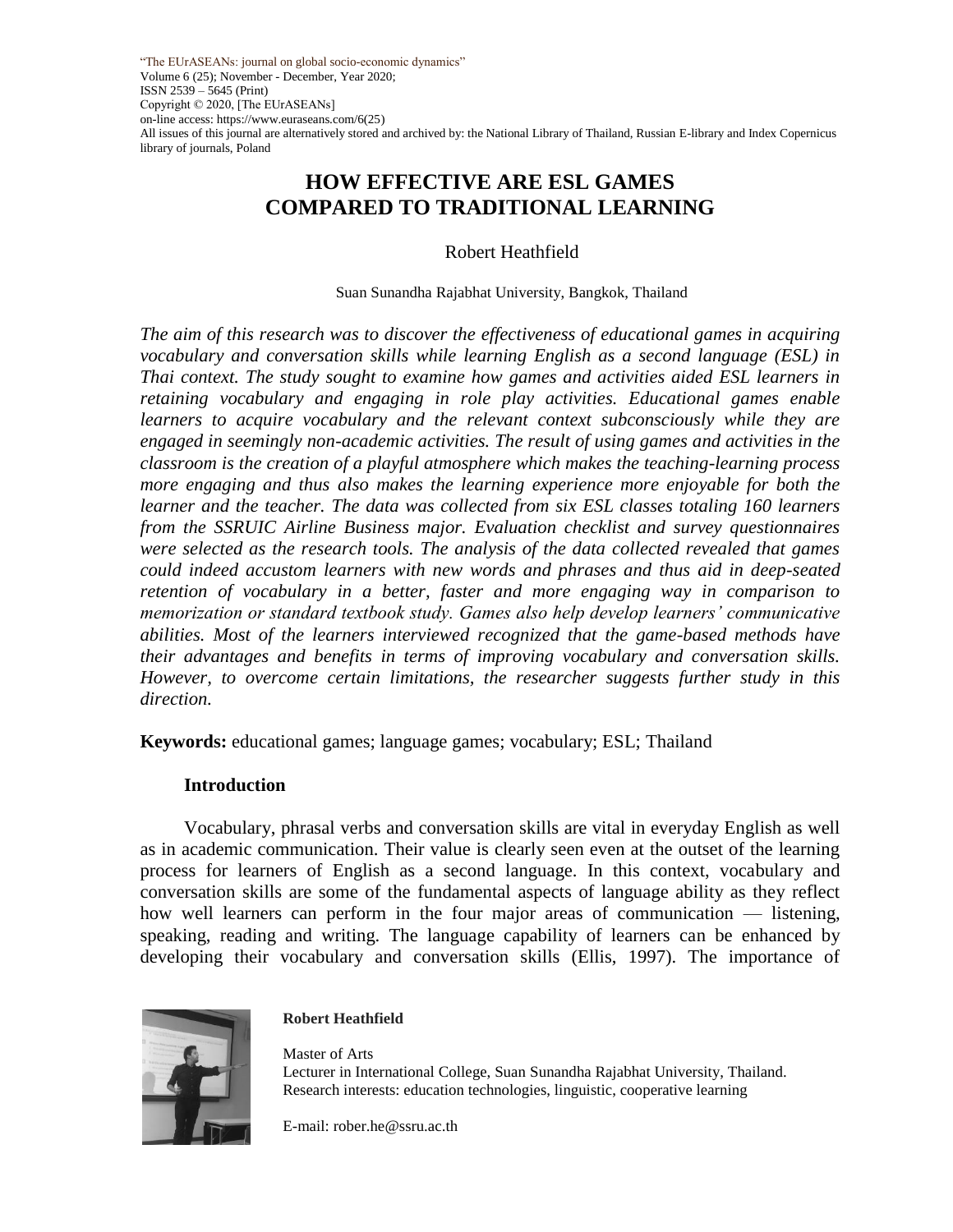"The EUrASEANs: journal on global socio-economic dynamics" Volume 6 (25); November - December, Year 2020; ISSN 2539 – 5645 (Print) Copyright © 2020, [The EUrASEANs] on-line access: https://www.euraseans.com/6(25) All issues of this journal are alternatively stored and archived by: the National Library of Thailand, Russian E-library and Index Copernicus library of journals, Poland

# **HOW EFFECTIVE ARE ESL GAMES COMPARED TO TRADITIONAL LEARNING**

Robert Heathfield

#### Suan Sunandha Rajabhat University, Bangkok, Thailand

*The aim of this research was to discover the effectiveness of educational games in acquiring vocabulary and conversation skills while learning English as a second language (ESL) in Thai context. The study sought to examine how games and activities aided ESL learners in retaining vocabulary and engaging in role play activities. Educational games enable learners to acquire vocabulary and the relevant context subconsciously while they are engaged in seemingly non-academic activities. The result of using games and activities in the classroom is the creation of a playful atmosphere which makes the teaching-learning process more engaging and thus also makes the learning experience more enjoyable for both the learner and the teacher. The data was collected from six ESL classes totaling 160 learners from the SSRUIC Airline Business major. Evaluation checklist and survey questionnaires were selected as the research tools. The analysis of the data collected revealed that games could indeed accustom learners with new words and phrases and thus aid in deep-seated retention of vocabulary in a better, faster and more engaging way in comparison to memorization or standard textbook study. Games also help develop learners' communicative abilities. Most of the learners interviewed recognized that the game-based methods have their advantages and benefits in terms of improving vocabulary and conversation skills. However, to overcome certain limitations, the researcher suggests further study in this direction.*

**Keywords:** educational games; language games; vocabulary; ESL; Thailand

#### **Introduction**

Vocabulary, phrasal verbs and conversation skills are vital in everyday English as well as in academic communication. Their value is clearly seen even at the outset of the learning process for learners of English as a second language. In this context, vocabulary and conversation skills are some of the fundamental aspects of language ability as they reflect how well learners can perform in the four major areas of communication — listening, speaking, reading and writing. The language capability of learners can be enhanced by developing their vocabulary and conversation skills (Ellis, 1997). The importance of



#### **Robert Heathfield**

Master of Arts Lecturer in International College, Suan Sunandha Rajabhat University, Thailand. Research interests: education technologies, linguistic, cooperative learning

E-mail: rober.he@ssru.ac.th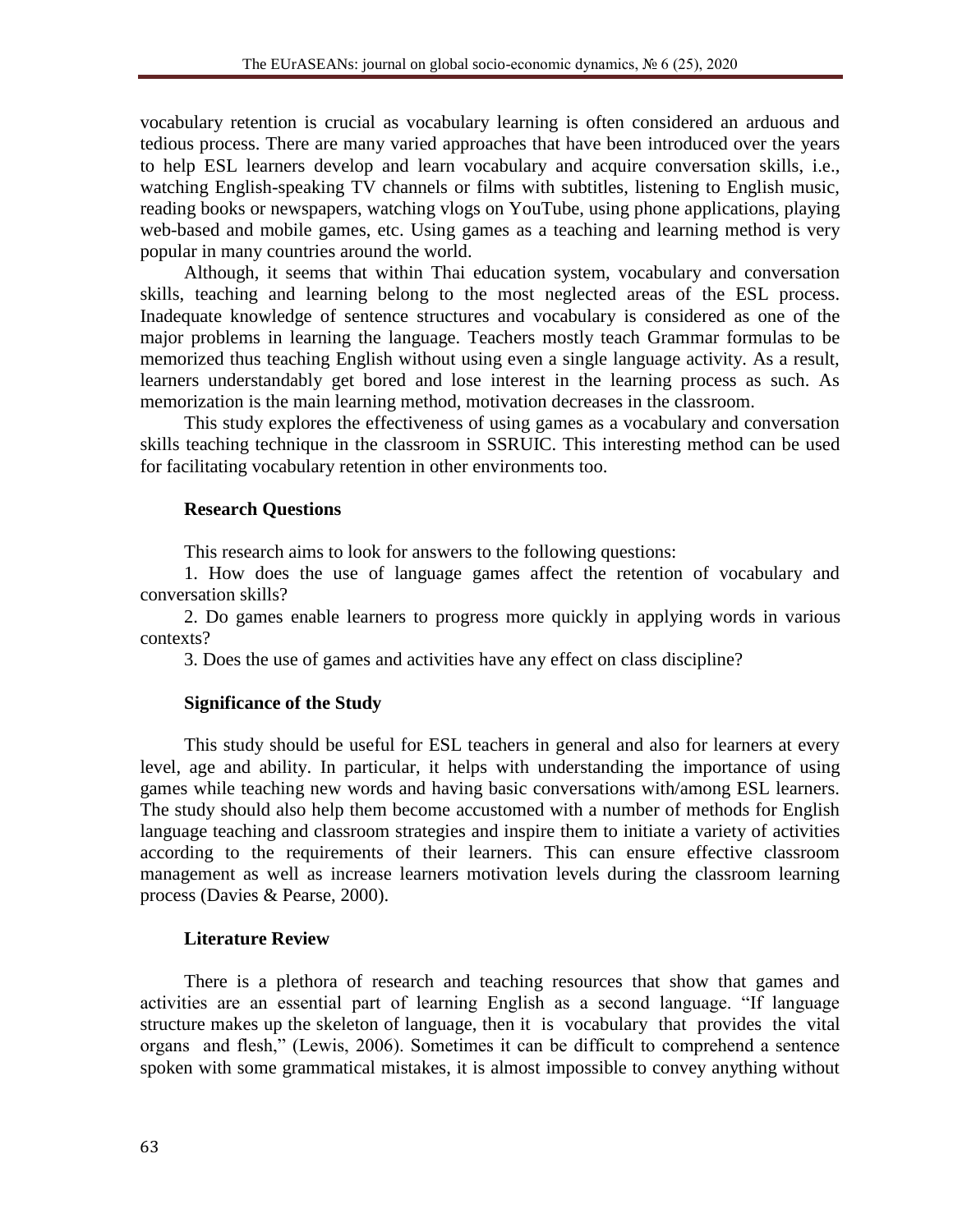vocabulary retention is crucial as vocabulary learning is often considered an arduous and tedious process. There are many varied approaches that have been introduced over the years to help ESL learners develop and learn vocabulary and acquire conversation skills, i.e., watching English-speaking TV channels or films with subtitles, listening to English music, reading books or newspapers, watching vlogs on YouTube, using phone applications, playing web-based and mobile games, etc. Using games as a teaching and learning method is very popular in many countries around the world.

Although, it seems that within Thai education system, vocabulary and conversation skills, teaching and learning belong to the most neglected areas of the ESL process. Inadequate knowledge of sentence structures and vocabulary is considered as one of the major problems in learning the language. Teachers mostly teach Grammar formulas to be memorized thus teaching English without using even a single language activity. As a result, learners understandably get bored and lose interest in the learning process as such. As memorization is the main learning method, motivation decreases in the classroom.

This study explores the effectiveness of using games as a vocabulary and conversation skills teaching technique in the classroom in SSRUIC. This interesting method can be used for facilitating vocabulary retention in other environments too.

### **Research Questions**

This research aims to look for answers to the following questions:

1. How does the use of language games affect the retention of vocabulary and conversation skills?

2. Do games enable learners to progress more quickly in applying words in various contexts?

3. Does the use of games and activities have any effect on class discipline?

### **Significance of the Study**

This study should be useful for ESL teachers in general and also for learners at every level, age and ability. In particular, it helps with understanding the importance of using games while teaching new words and having basic conversations with/among ESL learners. The study should also help them become accustomed with a number of methods for English language teaching and classroom strategies and inspire them to initiate a variety of activities according to the requirements of their learners. This can ensure effective classroom management as well as increase learners motivation levels during the classroom learning process (Davies & Pearse, 2000).

### **Literature Review**

There is a plethora of research and teaching resources that show that games and activities are an essential part of learning English as a second language. "If language structure makes up the skeleton of language, then it is vocabulary that provides the vital organs and flesh," (Lewis, 2006). Sometimes it can be difficult to comprehend a sentence spoken with some grammatical mistakes, it is almost impossible to convey anything without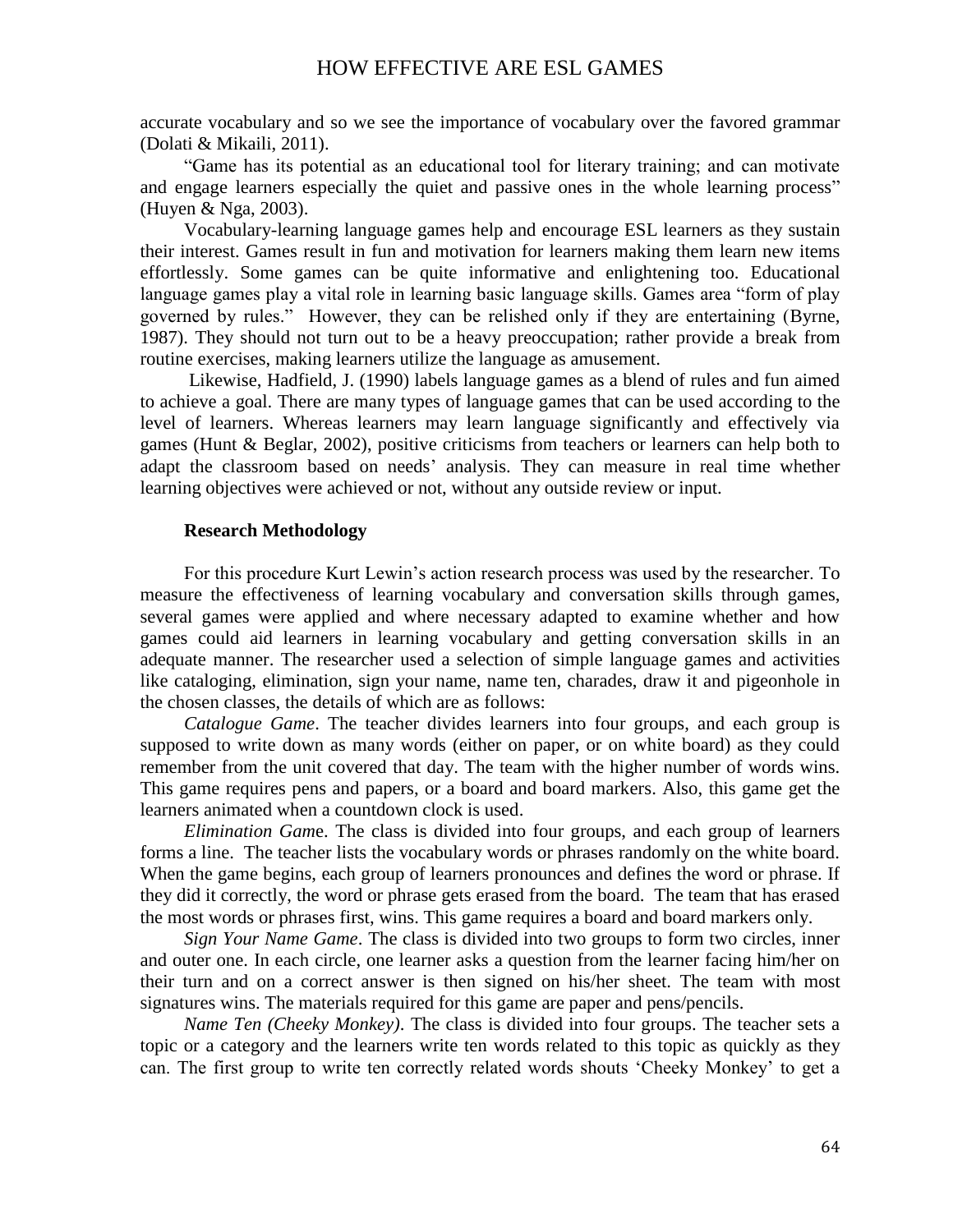# HOW EFFECTIVE ARE ESL GAMES

accurate vocabulary and so we see the importance of vocabulary over the favored grammar (Dolati & Mikaili, 2011).

―Game has its potential as an educational tool for literary training; and can motivate and engage learners especially the quiet and passive ones in the whole learning process" (Huyen & Nga, 2003).

Vocabulary-learning language games help and encourage ESL learners as they sustain their interest. Games result in fun and motivation for learners making them learn new items effortlessly. Some games can be quite informative and enlightening too. Educational language games play a vital role in learning basic language skills. Games area "form of play governed by rules.‖ However, they can be relished only if they are entertaining (Byrne, 1987). They should not turn out to be a heavy preoccupation; rather provide a break from routine exercises, making learners utilize the language as amusement.

Likewise, Hadfield, J. (1990) labels language games as a blend of rules and fun aimed to achieve a goal. There are many types of language games that can be used according to the level of learners. Whereas learners may learn language significantly and effectively via games (Hunt & Beglar, 2002), positive criticisms from teachers or learners can help both to adapt the classroom based on needs' analysis. They can measure in real time whether learning objectives were achieved or not, without any outside review or input.

#### **Research Methodology**

For this procedure Kurt Lewin's action research process was used by the researcher. To measure the effectiveness of learning vocabulary and conversation skills through games, several games were applied and where necessary adapted to examine whether and how games could aid learners in learning vocabulary and getting conversation skills in an adequate manner. The researcher used a selection of simple language games and activities like cataloging, elimination, sign your name, name ten, charades, draw it and pigeonhole in the chosen classes, the details of which are as follows:

*Catalogue Game*. The teacher divides learners into four groups, and each group is supposed to write down as many words (either on paper, or on white board) as they could remember from the unit covered that day. The team with the higher number of words wins. This game requires pens and papers, or a board and board markers. Also, this game get the learners animated when a countdown clock is used.

*Elimination Gam*e. The class is divided into four groups, and each group of learners forms a line. The teacher lists the vocabulary words or phrases randomly on the white board. When the game begins, each group of learners pronounces and defines the word or phrase. If they did it correctly, the word or phrase gets erased from the board. The team that has erased the most words or phrases first, wins. This game requires a board and board markers only.

*Sign Your Name Game*. The class is divided into two groups to form two circles, inner and outer one. In each circle, one learner asks a question from the learner facing him/her on their turn and on a correct answer is then signed on his/her sheet. The team with most signatures wins. The materials required for this game are paper and pens/pencils.

*Name Ten (Cheeky Monkey)*. The class is divided into four groups. The teacher sets a topic or a category and the learners write ten words related to this topic as quickly as they can. The first group to write ten correctly related words shouts 'Cheeky Monkey' to get a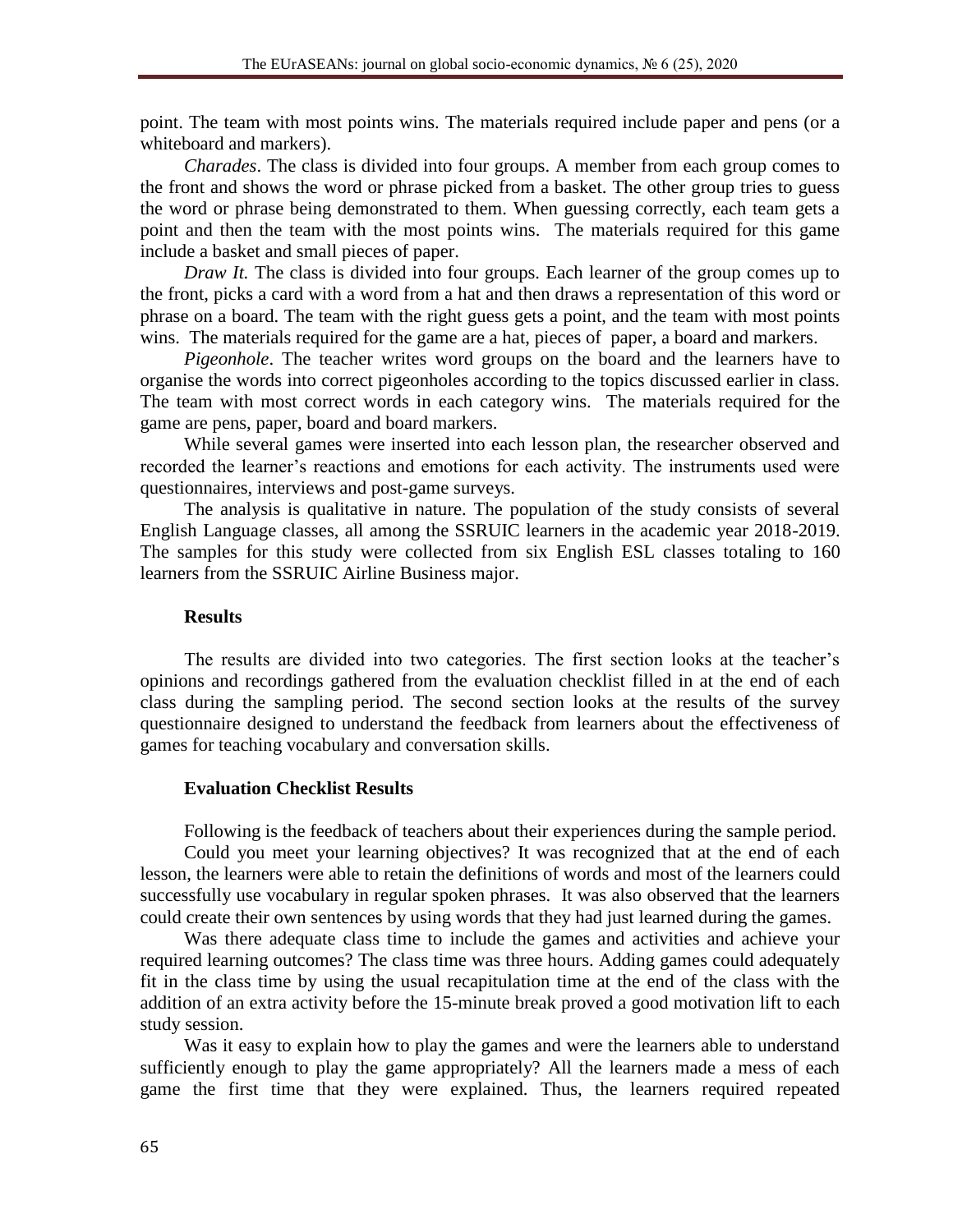point. The team with most points wins. The materials required include paper and pens (or a whiteboard and markers).

*Charades*. The class is divided into four groups. A member from each group comes to the front and shows the word or phrase picked from a basket. The other group tries to guess the word or phrase being demonstrated to them. When guessing correctly, each team gets a point and then the team with the most points wins. The materials required for this game include a basket and small pieces of paper.

*Draw It.* The class is divided into four groups. Each learner of the group comes up to the front, picks a card with a word from a hat and then draws a representation of this word or phrase on a board. The team with the right guess gets a point, and the team with most points wins. The materials required for the game are a hat, pieces of paper, a board and markers.

*Pigeonhole*. The teacher writes word groups on the board and the learners have to organise the words into correct pigeonholes according to the topics discussed earlier in class. The team with most correct words in each category wins. The materials required for the game are pens, paper, board and board markers.

While several games were inserted into each lesson plan, the researcher observed and recorded the learner's reactions and emotions for each activity. The instruments used were questionnaires, interviews and post-game surveys.

The analysis is qualitative in nature. The population of the study consists of several English Language classes, all among the SSRUIC learners in the academic year 2018-2019. The samples for this study were collected from six English ESL classes totaling to 160 learners from the SSRUIC Airline Business major.

#### **Results**

The results are divided into two categories. The first section looks at the teacher's opinions and recordings gathered from the evaluation checklist filled in at the end of each class during the sampling period. The second section looks at the results of the survey questionnaire designed to understand the feedback from learners about the effectiveness of games for teaching vocabulary and conversation skills.

#### **Evaluation Checklist Results**

Following is the feedback of teachers about their experiences during the sample period.

Could you meet your learning objectives? It was recognized that at the end of each lesson, the learners were able to retain the definitions of words and most of the learners could successfully use vocabulary in regular spoken phrases. It was also observed that the learners could create their own sentences by using words that they had just learned during the games.

Was there adequate class time to include the games and activities and achieve your required learning outcomes? The class time was three hours. Adding games could adequately fit in the class time by using the usual recapitulation time at the end of the class with the addition of an extra activity before the 15-minute break proved a good motivation lift to each study session.

Was it easy to explain how to play the games and were the learners able to understand sufficiently enough to play the game appropriately? All the learners made a mess of each game the first time that they were explained. Thus, the learners required repeated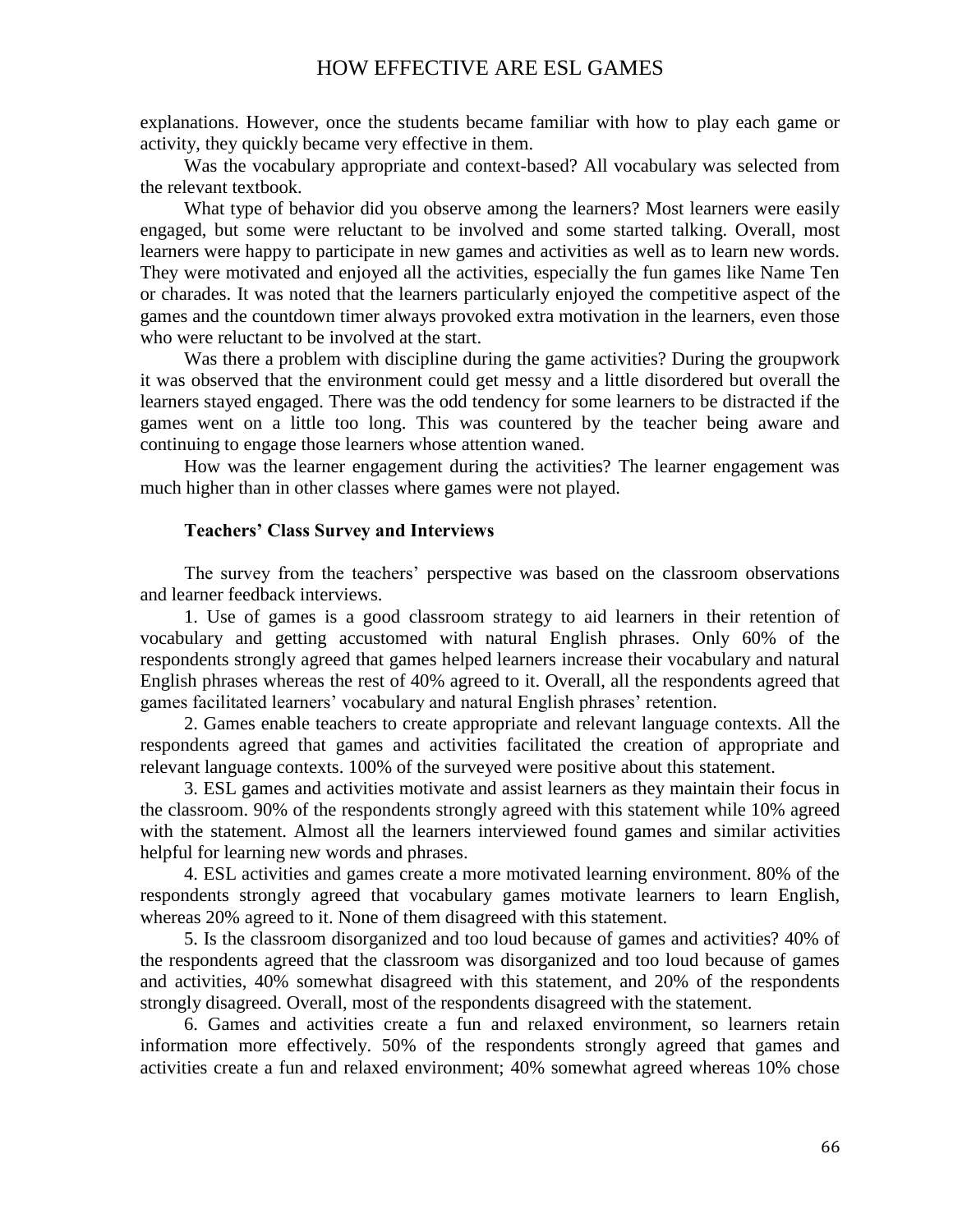explanations. However, once the students became familiar with how to play each game or activity, they quickly became very effective in them.

Was the vocabulary appropriate and context-based? All vocabulary was selected from the relevant textbook.

What type of behavior did you observe among the learners? Most learners were easily engaged, but some were reluctant to be involved and some started talking. Overall, most learners were happy to participate in new games and activities as well as to learn new words. They were motivated and enjoyed all the activities, especially the fun games like Name Ten or charades. It was noted that the learners particularly enjoyed the competitive aspect of the games and the countdown timer always provoked extra motivation in the learners, even those who were reluctant to be involved at the start.

Was there a problem with discipline during the game activities? During the groupwork it was observed that the environment could get messy and a little disordered but overall the learners stayed engaged. There was the odd tendency for some learners to be distracted if the games went on a little too long. This was countered by the teacher being aware and continuing to engage those learners whose attention waned.

How was the learner engagement during the activities? The learner engagement was much higher than in other classes where games were not played.

#### **Teachers' Class Survey and Interviews**

The survey from the teachers' perspective was based on the classroom observations and learner feedback interviews.

1. Use of games is a good classroom strategy to aid learners in their retention of vocabulary and getting accustomed with natural English phrases. Only 60% of the respondents strongly agreed that games helped learners increase their vocabulary and natural English phrases whereas the rest of 40% agreed to it. Overall, all the respondents agreed that games facilitated learners' vocabulary and natural English phrases' retention.

2. Games enable teachers to create appropriate and relevant language contexts. All the respondents agreed that games and activities facilitated the creation of appropriate and relevant language contexts. 100% of the surveyed were positive about this statement.

3. ESL games and activities motivate and assist learners as they maintain their focus in the classroom. 90% of the respondents strongly agreed with this statement while 10% agreed with the statement. Almost all the learners interviewed found games and similar activities helpful for learning new words and phrases.

4. ESL activities and games create a more motivated learning environment. 80% of the respondents strongly agreed that vocabulary games motivate learners to learn English, whereas 20% agreed to it. None of them disagreed with this statement.

5. Is the classroom disorganized and too loud because of games and activities? 40% of the respondents agreed that the classroom was disorganized and too loud because of games and activities, 40% somewhat disagreed with this statement, and 20% of the respondents strongly disagreed. Overall, most of the respondents disagreed with the statement.

6. Games and activities create a fun and relaxed environment, so learners retain information more effectively. 50% of the respondents strongly agreed that games and activities create a fun and relaxed environment; 40% somewhat agreed whereas 10% chose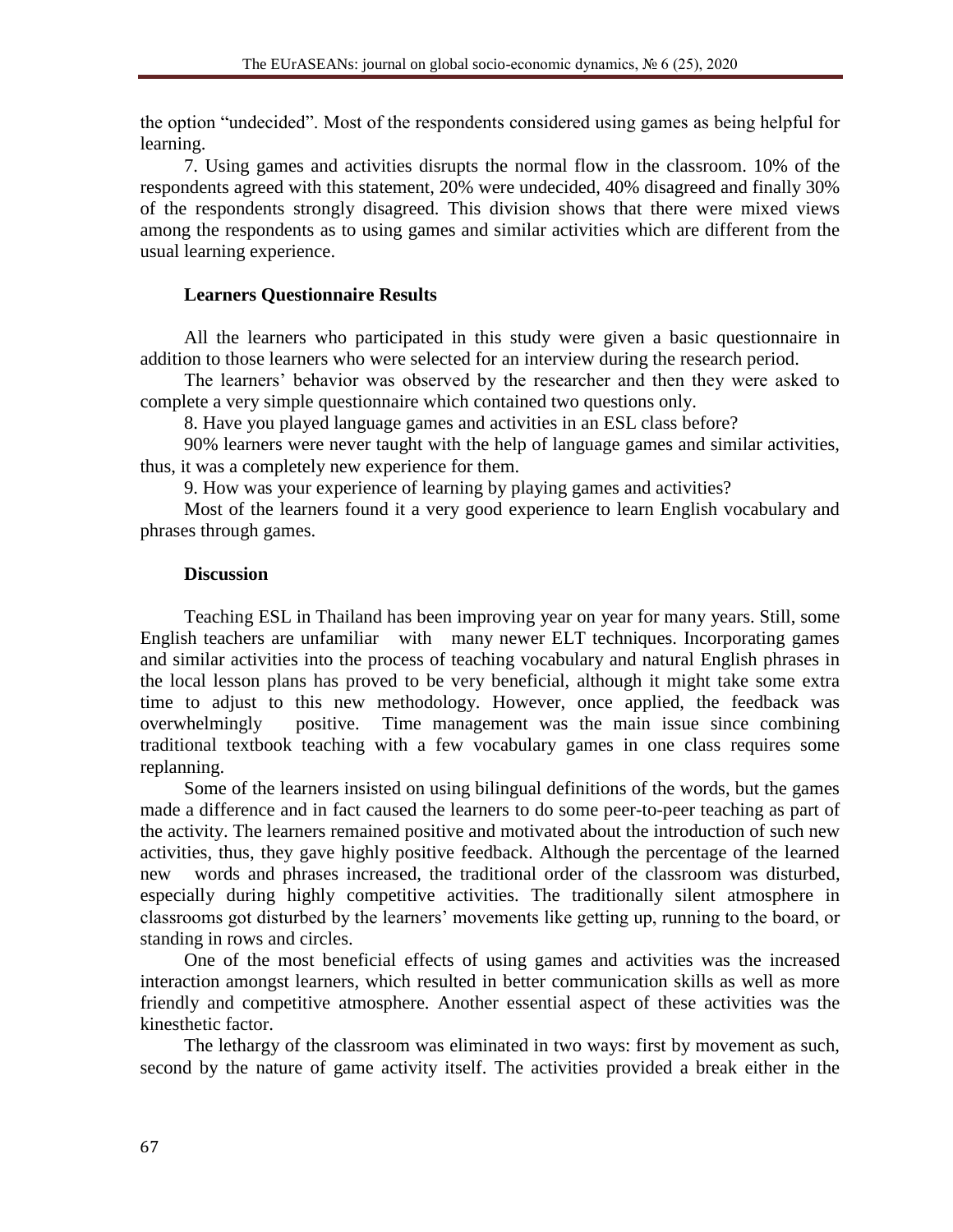the option "undecided". Most of the respondents considered using games as being helpful for learning.

7. Using games and activities disrupts the normal flow in the classroom. 10% of the respondents agreed with this statement, 20% were undecided, 40% disagreed and finally 30% of the respondents strongly disagreed. This division shows that there were mixed views among the respondents as to using games and similar activities which are different from the usual learning experience.

# **Learners Questionnaire Results**

All the learners who participated in this study were given a basic questionnaire in addition to those learners who were selected for an interview during the research period.

The learners' behavior was observed by the researcher and then they were asked to complete a very simple questionnaire which contained two questions only.

8. Have you played language games and activities in an ESL class before?

90% learners were never taught with the help of language games and similar activities, thus, it was a completely new experience for them.

9. How was your experience of learning by playing games and activities?

Most of the learners found it a very good experience to learn English vocabulary and phrases through games.

# **Discussion**

Teaching ESL in Thailand has been improving year on year for many years. Still, some English teachers are unfamiliar with many newer ELT techniques. Incorporating games and similar activities into the process of teaching vocabulary and natural English phrases in the local lesson plans has proved to be very beneficial, although it might take some extra time to adjust to this new methodology. However, once applied, the feedback was overwhelmingly positive. Time management was the main issue since combining traditional textbook teaching with a few vocabulary games in one class requires some replanning.

Some of the learners insisted on using bilingual definitions of the words, but the games made a difference and in fact caused the learners to do some peer-to-peer teaching as part of the activity. The learners remained positive and motivated about the introduction of such new activities, thus, they gave highly positive feedback. Although the percentage of the learned new words and phrases increased, the traditional order of the classroom was disturbed, especially during highly competitive activities. The traditionally silent atmosphere in classrooms got disturbed by the learners' movements like getting up, running to the board, or standing in rows and circles.

One of the most beneficial effects of using games and activities was the increased interaction amongst learners, which resulted in better communication skills as well as more friendly and competitive atmosphere. Another essential aspect of these activities was the kinesthetic factor.

The lethargy of the classroom was eliminated in two ways: first by movement as such, second by the nature of game activity itself. The activities provided a break either in the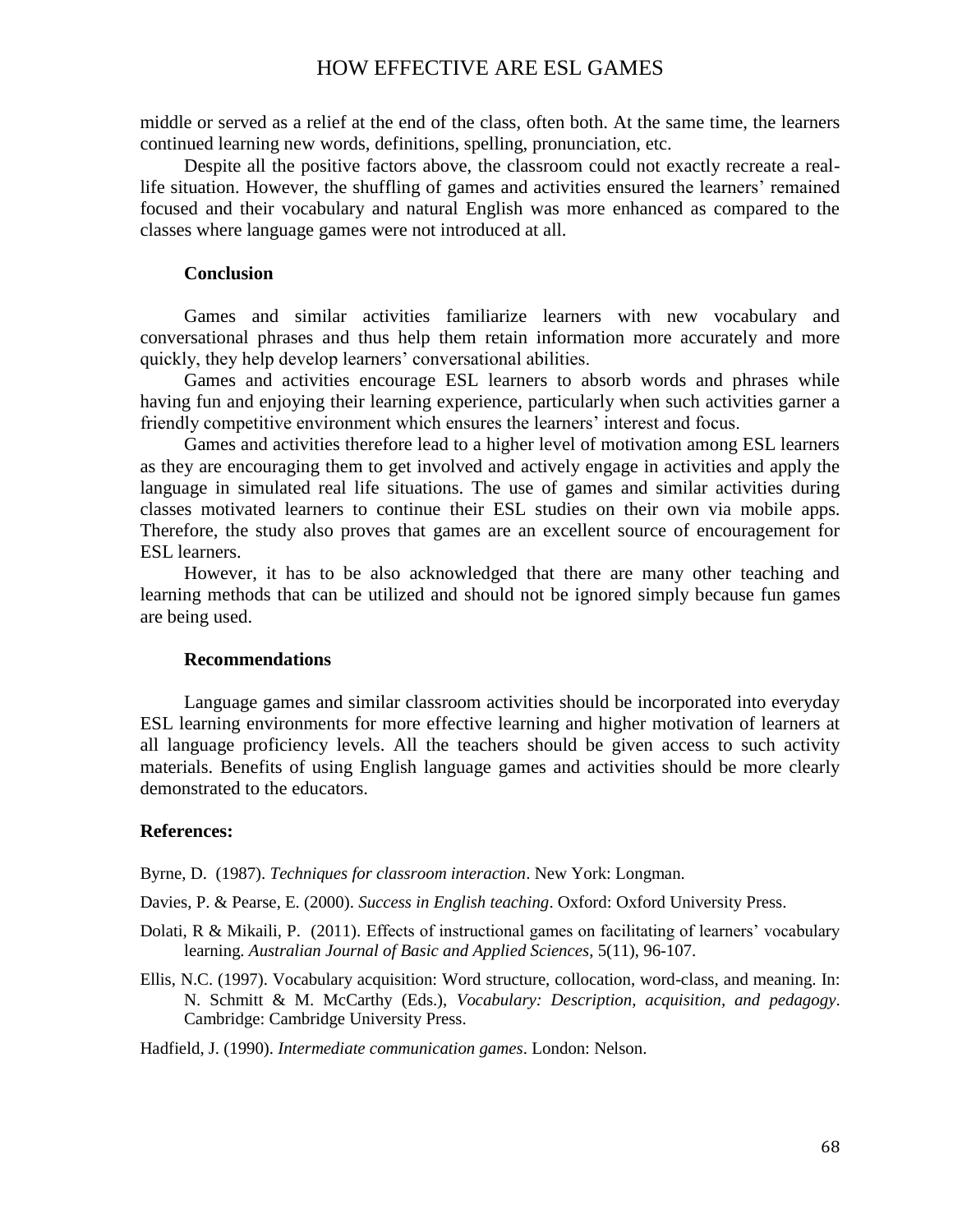# HOW EFFECTIVE ARE ESL GAMES

middle or served as a relief at the end of the class, often both. At the same time, the learners continued learning new words, definitions, spelling, pronunciation, etc.

Despite all the positive factors above, the classroom could not exactly recreate a reallife situation. However, the shuffling of games and activities ensured the learners' remained focused and their vocabulary and natural English was more enhanced as compared to the classes where language games were not introduced at all.

### **Conclusion**

Games and similar activities familiarize learners with new vocabulary and conversational phrases and thus help them retain information more accurately and more quickly, they help develop learners' conversational abilities.

Games and activities encourage ESL learners to absorb words and phrases while having fun and enjoying their learning experience, particularly when such activities garner a friendly competitive environment which ensures the learners' interest and focus.

Games and activities therefore lead to a higher level of motivation among ESL learners as they are encouraging them to get involved and actively engage in activities and apply the language in simulated real life situations. The use of games and similar activities during classes motivated learners to continue their ESL studies on their own via mobile apps. Therefore, the study also proves that games are an excellent source of encouragement for ESL learners.

However, it has to be also acknowledged that there are many other teaching and learning methods that can be utilized and should not be ignored simply because fun games are being used.

#### **Recommendations**

Language games and similar classroom activities should be incorporated into everyday ESL learning environments for more effective learning and higher motivation of learners at all language proficiency levels. All the teachers should be given access to such activity materials. Benefits of using English language games and activities should be more clearly demonstrated to the educators.

#### **References:**

Byrne, D. (1987). *Techniques for classroom interaction*. New York: Longman.

Davies, P. & Pearse, E. (2000). *Success in English teaching*. Oxford: Oxford University Press.

- Dolati, R & Mikaili, P. (2011). Effects of instructional games on facilitating of learners' vocabulary learning. *Australian Journal of Basic and Applied Sciences*, 5(11), 96-107.
- Ellis, N.C. (1997). Vocabulary acquisition: Word structure, collocation, word-class, and meaning. In: N. Schmitt & M. McCarthy (Eds.), *Vocabulary: Description, acquisition, and pedagogy*. Cambridge: Cambridge University Press.

Hadfield, J. (1990). *Intermediate communication games*. London: Nelson.